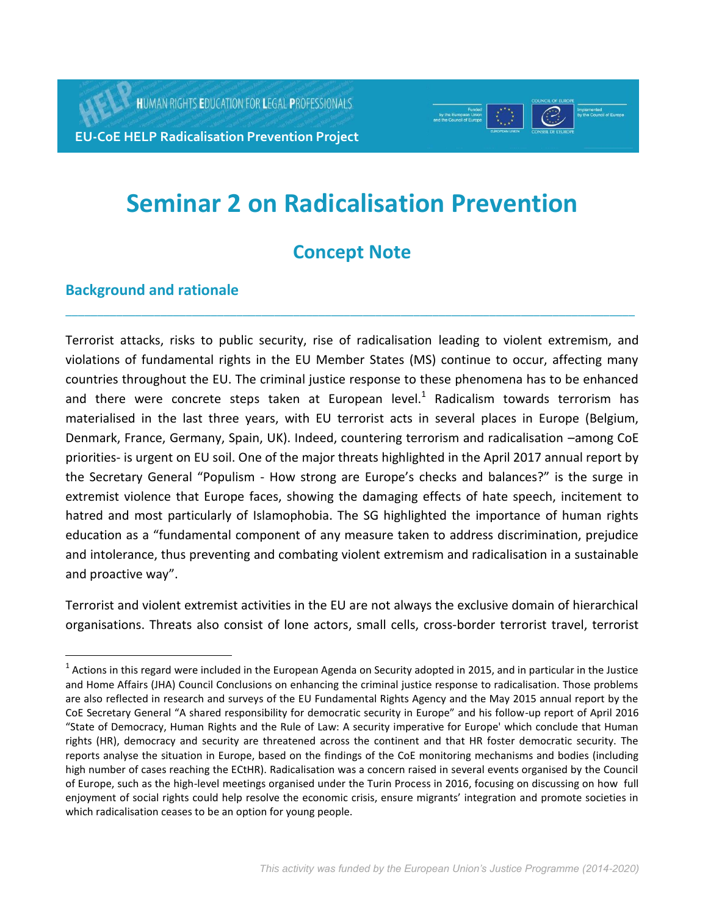**HUMAN RIGHTS EDUCATION FOR LEGAL PROFESSIONALS** 

**EU-CoE HELP Radicalisation Prevention Project**

# **Seminar 2 on Radicalisation Prevention**

# **Concept Note**

\_\_\_\_\_\_\_\_\_\_\_\_\_\_\_\_\_\_\_\_\_\_\_\_\_\_\_\_\_\_\_\_\_\_\_\_\_\_\_\_\_\_\_\_\_\_\_\_\_\_\_\_\_\_\_\_\_\_\_\_\_\_\_\_\_\_\_\_\_\_\_\_\_\_\_\_\_\_\_\_\_\_\_\_\_\_\_\_\_\_

## **Background and rationale**

l

Terrorist attacks, risks to public security, rise of radicalisation leading to violent extremism, and violations of fundamental rights in the EU Member States (MS) continue to occur, affecting many countries throughout the EU. The criminal justice response to these phenomena has to be enhanced and there were concrete steps taken at European level.<sup>1</sup> Radicalism towards terrorism has materialised in the last three years, with EU terrorist acts in several places in Europe (Belgium, Denmark, France, Germany, Spain, UK). Indeed, countering terrorism and radicalisation –among CoE priorities- is urgent on EU soil. One of the major threats highlighted in the April 2017 annual report by the Secretary General "Populism - How strong are Europe's checks and balances?" is the surge in extremist violence that Europe faces, showing the damaging effects of hate speech, incitement to hatred and most particularly of Islamophobia. The SG highlighted the importance of human rights education as a "fundamental component of any measure taken to address discrimination, prejudice and intolerance, thus preventing and combating violent extremism and radicalisation in a sustainable and proactive way".

Terrorist and violent extremist activities in the EU are not always the exclusive domain of hierarchical organisations. Threats also consist of lone actors, small cells, cross-border terrorist travel, terrorist

 $^1$  Actions in this regard were included in the European Agenda on Security adopted in 2015, and in particular in the Justice and Home Affairs (JHA) Council Conclusions on enhancing the criminal justice response to radicalisation. Those problems are also reflected in research and surveys of the EU Fundamental Rights Agency and the May 2015 annual report by the CoE Secretary General "A shared responsibility for democratic security in Europe" and his follow-up report of April 2016 "State of Democracy, Human Rights and the Rule of Law: A security imperative for Europe' which conclude that Human rights (HR), democracy and security are threatened across the continent and that HR foster democratic security. The reports analyse the situation in Europe, based on the findings of the CoE monitoring mechanisms and bodies (including high number of cases reaching the ECtHR). Radicalisation was a concern raised in several events organised by the Council of Europe, such as the high-level meetings organised under the Turin Process in 2016, focusing on discussing on how full enjoyment of social rights could help resolve the economic crisis, ensure migrants' integration and promote societies in which radicalisation ceases to be an option for young people.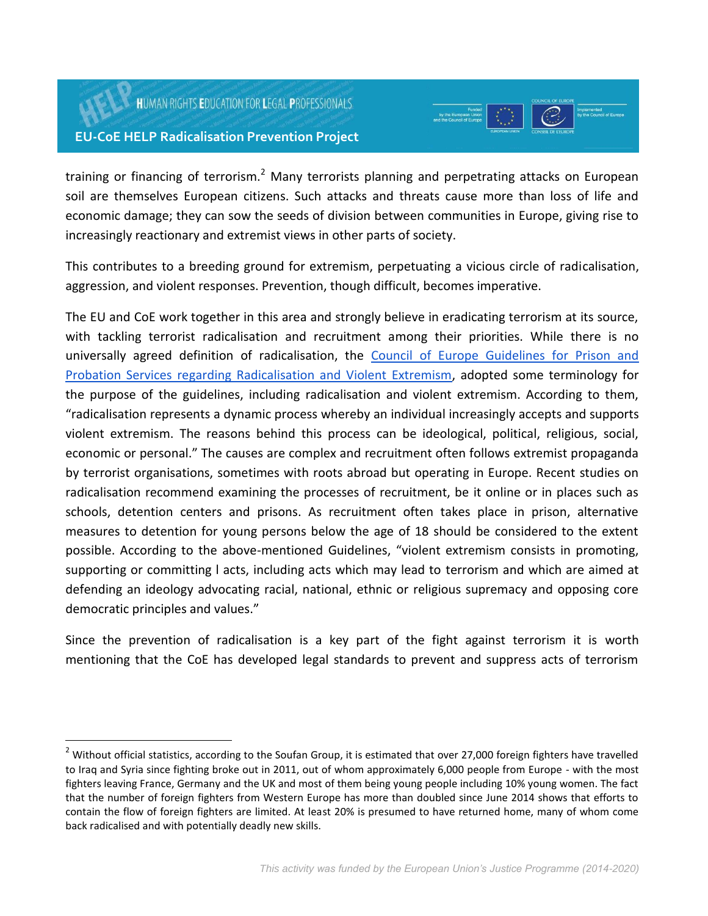

#### **EU-CoE HELP Radicalisation Prevention Project**

 $\overline{\phantom{a}}$ 

training or financing of terrorism.<sup>2</sup> Many terrorists planning and perpetrating attacks on European soil are themselves European citizens. Such attacks and threats cause more than loss of life and economic damage; they can sow the seeds of division between communities in Europe, giving rise to increasingly reactionary and extremist views in other parts of society.

This contributes to a breeding ground for extremism, perpetuating a vicious circle of radicalisation, aggression, and violent responses. Prevention, though difficult, becomes imperative.

The EU and CoE work together in this area and strongly believe in eradicating terrorism at its source, with tackling terrorist radicalisation and recruitment among their priorities. While there is no universally agreed definition of radicalisation, the [Council of Europe Guidelines for Prison and](https://search.coe.int/cm/Pages/result_details.aspx?ObjectID=09000016805c1a69)  [Probation Services regarding Radicalisation and Violent Extremism,](https://search.coe.int/cm/Pages/result_details.aspx?ObjectID=09000016805c1a69) adopted some terminology for the purpose of the guidelines, including radicalisation and violent extremism. According to them, "radicalisation represents a dynamic process whereby an individual increasingly accepts and supports violent extremism. The reasons behind this process can be ideological, political, religious, social, economic or personal." The causes are complex and recruitment often follows extremist propaganda by terrorist organisations, sometimes with roots abroad but operating in Europe. Recent studies on radicalisation recommend examining the processes of recruitment, be it online or in places such as schools, detention centers and prisons. As recruitment often takes place in prison, alternative measures to detention for young persons below the age of 18 should be considered to the extent possible. According to the above-mentioned Guidelines, "violent extremism consists in promoting, supporting or committing l acts, including acts which may lead to terrorism and which are aimed at defending an ideology advocating racial, national, ethnic or religious supremacy and opposing core democratic principles and values."

Since the prevention of radicalisation is a key part of the fight against terrorism it is worth mentioning that the CoE has developed legal standards to prevent and suppress acts of terrorism

<sup>&</sup>lt;sup>2</sup> Without official statistics, according to the Soufan Group, it is estimated that over 27,000 foreign fighters have travelled to Iraq and Syria since fighting broke out in 2011, out of whom approximately 6,000 people from Europe - with the most fighters leaving France, Germany and the UK and most of them being young people including 10% young women. The fact that the number of foreign fighters from Western Europe has more than doubled since June 2014 shows that efforts to contain the flow of foreign fighters are limited. At least 20% is presumed to have returned home, many of whom come back radicalised and with potentially deadly new skills.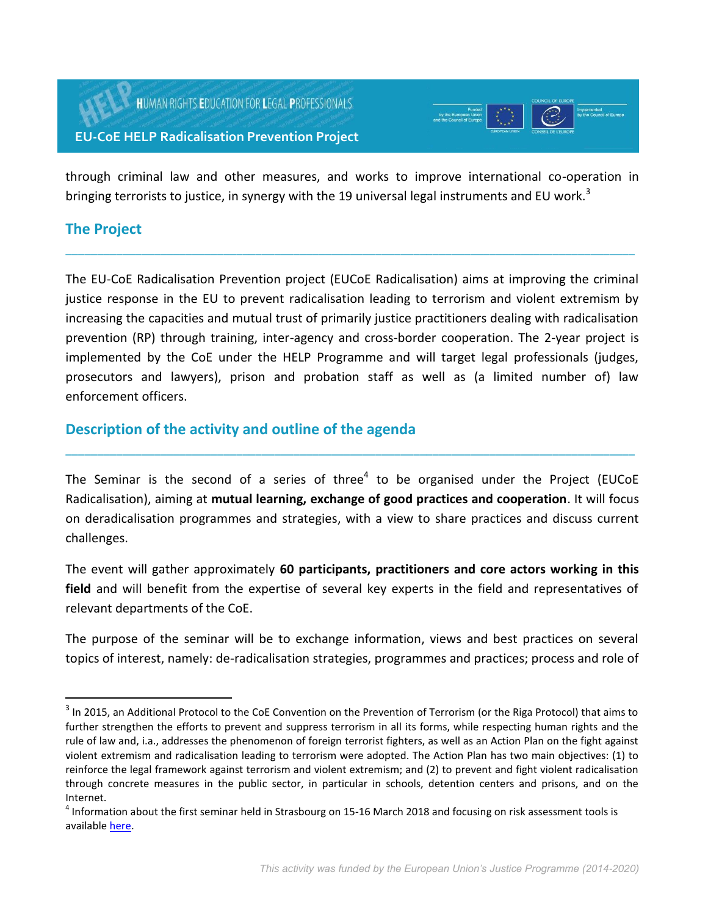

#### **EU-CoE HELP Radicalisation Prevention Project**

through criminal law and other measures, and works to improve international co-operation in bringing terrorists to justice, in synergy with the 19 universal legal instruments and EU work.<sup>3</sup>

\_\_\_\_\_\_\_\_\_\_\_\_\_\_\_\_\_\_\_\_\_\_\_\_\_\_\_\_\_\_\_\_\_\_\_\_\_\_\_\_\_\_\_\_\_\_\_\_\_\_\_\_\_\_\_\_\_\_\_\_\_\_\_\_\_\_\_\_\_\_\_\_\_\_\_\_\_\_\_\_\_\_\_\_\_\_\_\_\_\_

## **The Project**

 $\overline{\phantom{a}}$ 

The EU-CoE Radicalisation Prevention project (EUCoE Radicalisation) aims at improving the criminal justice response in the EU to prevent radicalisation leading to terrorism and violent extremism by increasing the capacities and mutual trust of primarily justice practitioners dealing with radicalisation prevention (RP) through training, inter-agency and cross-border cooperation. The 2-year project is implemented by the CoE under the HELP Programme and will target legal professionals (judges, prosecutors and lawyers), prison and probation staff as well as (a limited number of) law enforcement officers.

# **Description of the activity and outline of the agenda**

The Seminar is the second of a series of three<sup>4</sup> to be organised under the Project (EUCoE Radicalisation), aiming at **mutual learning, exchange of good practices and cooperation**. It will focus on deradicalisation programmes and strategies, with a view to share practices and discuss current challenges.

\_\_\_\_\_\_\_\_\_\_\_\_\_\_\_\_\_\_\_\_\_\_\_\_\_\_\_\_\_\_\_\_\_\_\_\_\_\_\_\_\_\_\_\_\_\_\_\_\_\_\_\_\_\_\_\_\_\_\_\_\_\_\_\_\_\_\_\_\_\_\_\_\_\_\_\_\_\_\_\_\_\_\_\_\_\_\_\_\_\_

The event will gather approximately **60 participants, practitioners and core actors working in this field** and will benefit from the expertise of several key experts in the field and representatives of relevant departments of the CoE.

The purpose of the seminar will be to exchange information, views and best practices on several topics of interest, namely: de-radicalisation strategies, programmes and practices; process and role of

 $^3$  In 2015, an Additional Protocol to the CoE Convention on the Prevention of Terrorism (or the Riga Protocol) that aims to further strengthen the efforts to prevent and suppress terrorism in all its forms, while respecting human rights and the rule of law and, i.a., addresses the phenomenon of foreign terrorist fighters, as well as an Action Plan on the fight against violent extremism and radicalisation leading to terrorism were adopted. The Action Plan has two main objectives: (1) to reinforce the legal framework against terrorism and violent extremism; and (2) to prevent and fight violent radicalisation through concrete measures in the public sector, in particular in schools, detention centers and prisons, and on the Internet.

<sup>&</sup>lt;sup>4</sup> Information about the first seminar held in Strasbourg on 15-16 March 2018 and focusing on risk assessment tools is available [here.](https://www.coe.int/en/web/help/-/radicalisation-prevention-european-seminar-under-european-union-council-of-europe-project)